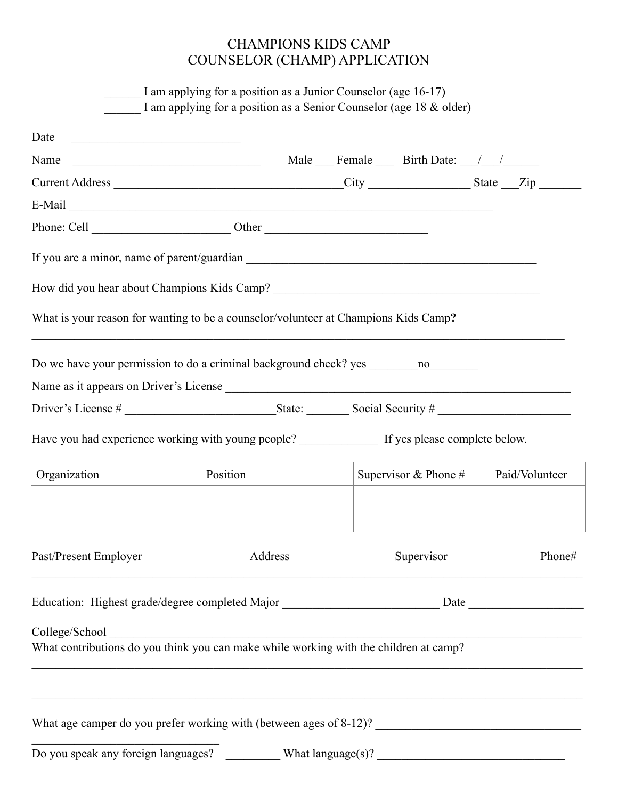# CHAMPIONS KIDS CAMP COUNSELOR (CHAMP) APPLICATION

|                                                                                                                               | I am applying for a position as a Junior Counselor (age 16-17)<br>I am applying for a position as a Senior Counselor (age 18 & older) |  |  |                            |                |
|-------------------------------------------------------------------------------------------------------------------------------|---------------------------------------------------------------------------------------------------------------------------------------|--|--|----------------------------|----------------|
| Date<br><u> 1989 - Johann Barn, fransk politik amerikansk politik (</u>                                                       |                                                                                                                                       |  |  |                            |                |
| Name<br><u> 1980 - Johann Barn, mars and de Branch Barn, mars and de Branch Barn, mars and de Branch Barn, mars and de Br</u> |                                                                                                                                       |  |  | Male Female Birth Date: // |                |
|                                                                                                                               |                                                                                                                                       |  |  |                            |                |
|                                                                                                                               |                                                                                                                                       |  |  |                            |                |
|                                                                                                                               |                                                                                                                                       |  |  |                            |                |
|                                                                                                                               |                                                                                                                                       |  |  |                            |                |
|                                                                                                                               |                                                                                                                                       |  |  |                            |                |
| What is your reason for wanting to be a counselor/volunteer at Champions Kids Camp?                                           |                                                                                                                                       |  |  |                            |                |
|                                                                                                                               |                                                                                                                                       |  |  |                            |                |
|                                                                                                                               |                                                                                                                                       |  |  |                            |                |
|                                                                                                                               |                                                                                                                                       |  |  |                            |                |
|                                                                                                                               |                                                                                                                                       |  |  |                            |                |
| Organization                                                                                                                  | Position                                                                                                                              |  |  | Supervisor & Phone #       | Paid/Volunteer |
| Past/Present Employer                                                                                                         | Address                                                                                                                               |  |  | Supervisor                 | Phone#         |
|                                                                                                                               |                                                                                                                                       |  |  |                            |                |
|                                                                                                                               |                                                                                                                                       |  |  |                            |                |
|                                                                                                                               |                                                                                                                                       |  |  |                            |                |
|                                                                                                                               |                                                                                                                                       |  |  |                            |                |
|                                                                                                                               |                                                                                                                                       |  |  |                            |                |